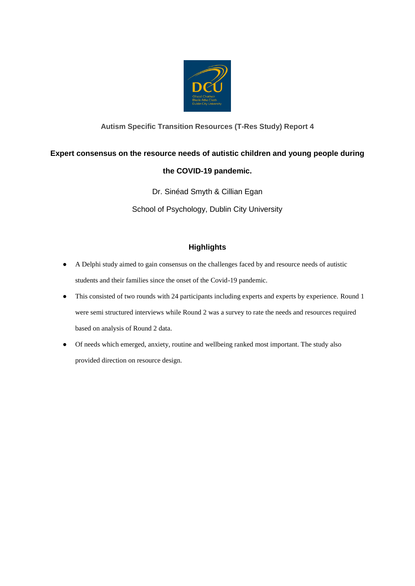

## **Autism Specific Transition Resources (T-Res Study) Report 4**

# **Expert consensus on the resource needs of autistic children and young people during**

## **the COVID-19 pandemic.**

Dr. Sinéad Smyth & Cillian Egan School of Psychology, Dublin City University

# **Highlights**

- A Delphi study aimed to gain consensus on the challenges faced by and resource needs of autistic students and their families since the onset of the Covid-19 pandemic.
- This consisted of two rounds with 24 participants including experts and experts by experience. Round 1 were semi structured interviews while Round 2 was a survey to rate the needs and resources required based on analysis of Round 2 data.
- Of needs which emerged, anxiety, routine and wellbeing ranked most important. The study also provided direction on resource design.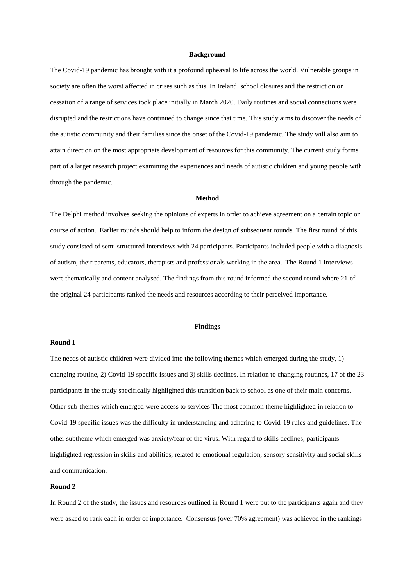#### **Background**

The Covid-19 pandemic has brought with it a profound upheaval to life across the world. Vulnerable groups in society are often the worst affected in crises such as this. In Ireland, school closures and the restriction or cessation of a range of services took place initially in March 2020. Daily routines and social connections were disrupted and the restrictions have continued to change since that time. This study aims to discover the needs of the autistic community and their families since the onset of the Covid-19 pandemic. The study will also aim to attain direction on the most appropriate development of resources for this community. The current study forms part of a larger research project examining the experiences and needs of autistic children and young people with through the pandemic.

#### **Method**

The Delphi method involves seeking the opinions of experts in order to achieve agreement on a certain topic or course of action. Earlier rounds should help to inform the design of subsequent rounds. The first round of this study consisted of semi structured interviews with 24 participants. Participants included people with a diagnosis of autism, their parents, educators, therapists and professionals working in the area. The Round 1 interviews were thematically and content analysed. The findings from this round informed the second round where 21 of the original 24 participants ranked the needs and resources according to their perceived importance.

## **Findings**

### **Round 1**

The needs of autistic children were divided into the following themes which emerged during the study, 1) changing routine, 2) Covid-19 specific issues and 3) skills declines. In relation to changing routines, 17 of the 23 participants in the study specifically highlighted this transition back to school as one of their main concerns. Other sub-themes which emerged were access to services The most common theme highlighted in relation to Covid-19 specific issues was the difficulty in understanding and adhering to Covid-19 rules and guidelines. The other subtheme which emerged was anxiety/fear of the virus. With regard to skills declines, participants highlighted regression in skills and abilities, related to emotional regulation, sensory sensitivity and social skills and communication.

## **Round 2**

In Round 2 of the study, the issues and resources outlined in Round 1 were put to the participants again and they were asked to rank each in order of importance. Consensus (over 70% agreement) was achieved in the rankings